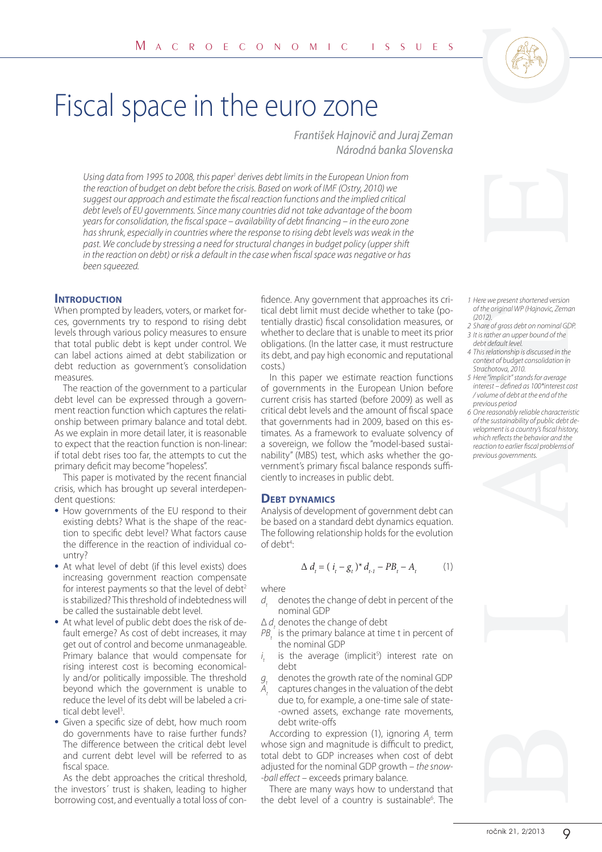# Fiscal space in the euro zone

František Hajnovič and Juraj Zeman Národná banka Slovenska

Using data from 1995 to 2008, this paper<sup>1</sup> derives debt limits in the European Union from the reaction of budget on debt before the crisis. Based on work of IMF (Ostry, 2010) we suggest our approach and estimate the fiscal reaction functions and the implied critical debt levels of EU governments. Since many countries did not take advantage of the boom years for consolidation, the fiscal space – availability of debt financing – in the euro zone has shrunk, especially in countries where the response to rising debt levels was weak in the past. We conclude by stressing a need for structural changes in budget policy (upper shift in the reaction on debt) or risk a default in the case when fiscal space was negative or has been squeezed.

## **INTRODUCTION**

When prompted by leaders, voters, or market forces, governments try to respond to rising debt levels through various policy measures to ensure that total public debt is kept under control. We can label actions aimed at debt stabilization or debt reduction as government's consolidation measures.

The reaction of the government to a particular debt level can be expressed through a government reaction function which captures the relationship between primary balance and total debt. As we explain in more detail later, it is reasonable to expect that the reaction function is non-linear: if total debt rises too far, the attempts to cut the primary deficit may become "hopeless".

This paper is motivated by the recent financial crisis, which has brought up several interdependent questions:

- How governments of the EU respond to their existing debts? What is the shape of the reaction to specific debt level? What factors cause the difference in the reaction of individual country?
- At what level of debt (if this level exists) does increasing government reaction compensate for interest payments so that the level of debt<sup>2</sup> is stabilized? This threshold of indebtedness will be called the sustainable debt level.
- At what level of public debt does the risk of default emerge? As cost of debt increases, it may get out of control and become unmanageable. Primary balance that would compensate for rising interest cost is becoming economically and/or politically impossible. The threshold beyond which the government is unable to reduce the level of its debt will be labeled a critical debt level<sup>3</sup>.
- Given a specific size of debt, how much room do governments have to raise further funds? The difference between the critical debt level and current debt level will be referred to as fiscal space.

As the debt approaches the critical threshold, the investors´ trust is shaken, leading to higher borrowing cost, and eventually a total loss of con-

fidence. Any government that approaches its critical debt limit must decide whether to take (potentially drastic) fiscal consolidation measures, or whether to declare that is unable to meet its prior obligations. (In the latter case, it must restructure its debt, and pay high economic and reputational costs.)

In this paper we estimate reaction functions of governments in the European Union before current crisis has started (before 2009) as well as critical debt levels and the amount of fiscal space that governments had in 2009, based on this estimates. As a framework to evaluate solvency of a sovereign, we follow the "model-based sustainability" (MBS) test, which asks whether the government's primary fiscal balance responds sufficiently to increases in public debt.

#### **DEBT DYNAMICS**

Analysis of development of government debt can be based on a standard debt dynamics equation. The following relationship holds for the evolution of debt<sup>4</sup>: :

$$
\Delta d_t = (i_t - g_t)^* d_{t-1} - PB_t - A_t \tag{1}
$$

where

- $d_{\tau}$  denotes the change of debt in percent of the nominal GDP
- $\Delta d_t$  denotes the change of debt
- $PB<sub>t</sub>$  is the primary balance at time t in percent of the nominal GDP
- i t is the average (implicit<sup>5</sup>) interest rate on debt
- $Q_{1}$  denotes the growth rate of the nominal GDP captures changes in the valuation of the debt
- $A_t$ due to, for example, a one-time sale of state- -owned assets, exchange rate movements, debt write-offs

According to expression (1), ignoring  $A_t$  term whose sign and magnitude is difficult to predict, total debt to GDP increases when cost of debt adjusted for the nominal GDP growth – the snow- -ball effect - exceeds primary balance.

There are many ways how to understand that the debt level of a country is sustainable<sup>6</sup>. The



- 1 Here we present shortened version of the original WP (Hajnovic, Zeman (2012).
- 2 Share of gross debt on nominal GDP. 3 It is rather an upper bound of the
- debt default level. 4 This relationship is discussed in the
- context of budget consolidation in Strachotova, 2010.
- 5 Here "implicit" stands for average interest – defined as 100\*interest cost / volume of debt at the end of the previous period
- 6 One reasonably reliable characteristic of the sustainability of public debt development is a country's fiscal history, which reflects the behavior and the reaction to earlier fiscal problems of previous governments.

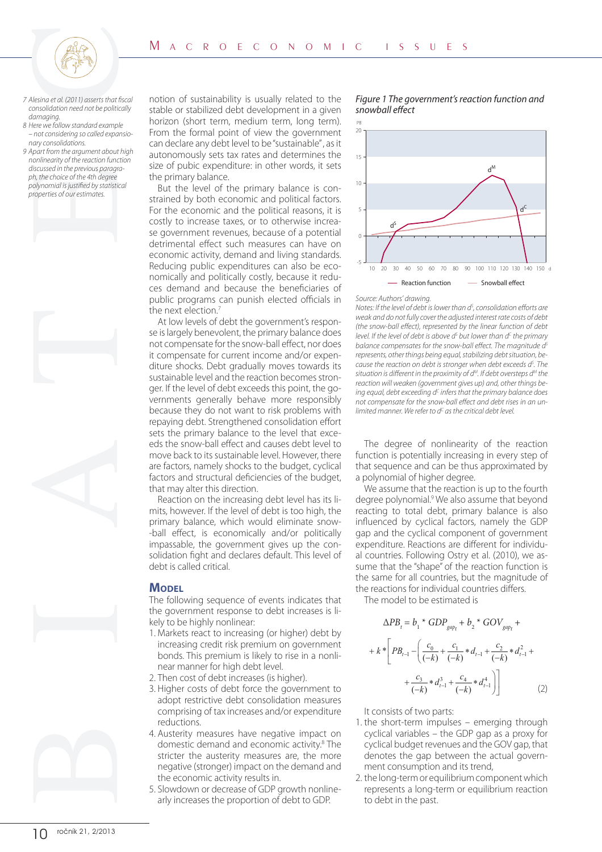

- 7 Alesina et al. (2011) asserts that fiscal consolidation need not be politically damaging.
- 8 Here we follow standard example – not considering so called expansionary consolidations.
- 9 Apart from the argument about high nonlinearity of the reaction function discussed in the previous paragraph, the choice of the 4th degree polynomial is justified by statistical properties of our estimates.



notion of sustainability is usually related to the stable or stabilized debt development in a given horizon (short term, medium term, long term). From the formal point of view the government can declare any debt level to be "sustainable" , as it autonomously sets tax rates and determines the size of pubic expenditure: in other words, it sets the primary balance.

But the level of the primary balance is constrained by both economic and political factors. For the economic and the political reasons, it is costly to increase taxes, or to otherwise increase government revenues, because of a potential detrimental effect such measures can have on economic activity, demand and living standards. Reducing public expenditures can also be economically and politically costly, because it reduces demand and because the beneficiaries of public programs can punish elected officials in the next election.<sup>7</sup>

At low levels of debt the government's response is largely benevolent, the primary balance does not compensate for the snow-ball effect, nor does it compensate for current income and/or expenditure shocks. Debt gradually moves towards its sustainable level and the reaction becomes stronger. If the level of debt exceeds this point, the governments generally behave more responsibly because they do not want to risk problems with repaying debt. Strengthened consolidation effort sets the primary balance to the level that exceeds the snow-ball effect and causes debt level to move back to its sustainable level. However, there are factors, namely shocks to the budget, cyclical factors and structural deficiencies of the budget, that may alter this direction.

Reaction on the increasing debt level has its limits, however. If the level of debt is too high, the primary balance, which would eliminate snow- -ball effect, is economically and/or politically impassable, the government gives up the consolidation fight and declares default. This level of debt is called critical.

#### **MODEL**

The following sequence of events indicates that the government response to debt increases is likely to be highly nonlinear:

- 1. Markets react to increasing (or higher) debt by increasing credit risk premium on government bonds. This premium is likely to rise in a nonlinear manner for high debt level.
- 2. Then cost of debt increases (is higher).
- 3. Higher costs of debt force the government to adopt restrictive debt consolidation measures comprising of tax increases and/or expenditure reductions.
- 4. Austerity measures have negative impact on domestic demand and economic activity.<sup>8</sup> The stricter the austerity measures are, the more negative (stronger) impact on the demand and the economic activity results in.
- 5. Slowdown or decrease of GDP growth nonlinearly increases the proportion of debt to GDP.

#### Figure 1 The government's reaction function and snowball effect



#### Source: Authors' drawing.

Notes: If the level of debt is lower than  $d^s$ , consolidation efforts are weak and do not fully cover the adjusted interest rate costs of debt (the snow-ball effect), represented by the linear function of debt level. If the level of debt is above  $d^\varsigma$  but lower than  $d^\varsigma$  the primary balance compensates for the snow-ball effect. The magnitude  $d<sup>S</sup>$ represents, other things being equal, stabilizing debt situation, because the reaction on debt is stronger when debt exceeds d<sup>s</sup>. The situation is different in the proximity of  $d^M$ . If debt oversteps  $d^M$  the reaction will weaken (government gives up) and, other things being equal, debt exceeding  $d^c$  infers that the primary balance does not compensate for the snow-ball effect and debt rises in an unlimited manner. We refer to d $^{\mathsf{c}}$  as the critical debt level.

The degree of nonlinearity of the reaction function is potentially increasing in every step of that sequence and can be thus approximated by a polynomial of higher degree.

We assume that the reaction is up to the fourth degree polynomial.<sup>9</sup> We also assume that beyond reacting to total debt, primary balance is also influenced by cyclical factors, namely the GDP gap and the cyclical component of government expenditure. Reactions are different for individual countries. Following Ostry et al. (2010), we assume that the "shape" of the reaction function is the same for all countries, but the magnitude of the reactions for individual countries differs.

The model to be estimated is

$$
\Delta PB_t = b_1 * GDP_{gap_t} + b_2 * GOV_{gap_t} +
$$
  
+  $k * \left[ PB_{t-1} - \left( \frac{c_0}{(-k)} + \frac{c_1}{(-k)} * d_{t-1} + \frac{c_2}{(-k)} * d_{t-1}^2 + \right. \right. \\ + \left. \frac{c_3}{(-k)} * d_{t-1}^3 + \frac{c_4}{(-k)} * d_{t-1}^4 \right) \right]$  (2)

It consists of two parts:

- 1. the short-term impulses emerging through cyclical variables – the GDP gap as a proxy for cyclical budget revenues and the GOV gap, that denotes the gap between the actual government consumption and its trend,
- 2. the long-term or equilibrium component which represents a long-term or equilibrium reaction to debt in the past.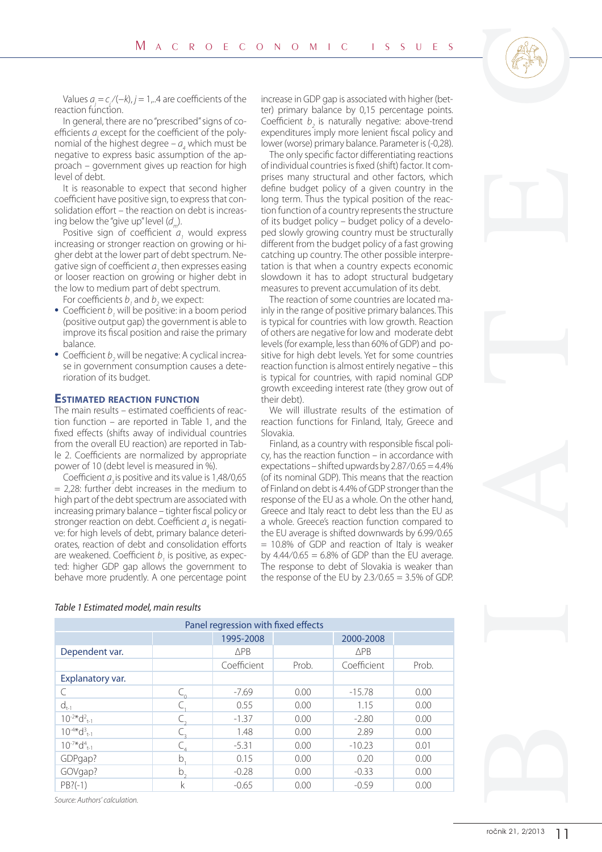Values  $a_j = c_j/(-k)$ , j = 1,..4 are coefficients of the reaction function.

In general, there are no "prescribed" signs of coefficients  $a_{\mu}$  except for the coefficient of the polynomial of the highest degree  $-a_4$  which must be negative to express basic assumption of the approach – government gives up reaction for high level of debt.

It is reasonable to expect that second higher coefficient have positive sign, to express that consolidation effort – the reaction on debt is increasing below the "give up" level  $(d_n)$ .

Positive sign of coefficient  $a<sub>1</sub>$  would express increasing or stronger reaction on growing or higher debt at the lower part of debt spectrum. Negative sign of coefficient  $a_{\overline{2}}$  then expresses easing or looser reaction on growing or higher debt in the low to medium part of debt spectrum.

For coefficients  $b<sub>j</sub>$  and  $b<sub>2</sub>$  we expect:

- Coefficient  $b_1$  and  $b_2$  we expect. (positive output gap) the government is able to improve its fiscal position and raise the primary balance.
- Coefficient  $b_2$  will be negative: A cyclical increase in government consumption causes a deterioration of its budget.

#### **ESTIMATED REACTION FUNCTION**

The main results – estimated coefficients of reaction function – are reported in Table 1, and the fixed effects (shifts away of individual countries from the overall EU reaction) are reported in Table 2. Coefficients are normalized by appropriate power of 10 (debt level is measured in %).

Coefficient  $a_3$  is positive and its value is 1,48/0,65  $= 2.28$ : further debt increases in the medium to high part of the debt spectrum are associated with increasing primary balance – tighter fiscal policy or stronger reaction on debt. Coefficient  $a<sub>4</sub>$  is negative: for high levels of debt, primary balance deteriorates, reaction of debt and consolidation efforts are weakened. Coefficient  $b<sub>1</sub>$  is positive, as expected: higher GDP gap allows the government to behave more prudently. A one percentage point increase in GDP gap is associated with higher (better) primary balance by 0,15 percentage points. Coefficient  $b<sub>2</sub>$  is naturally negative: above-trend expenditures imply more lenient fiscal policy and lower (worse) primary balance. Parameter is (-0,28).

The only specific factor differentiating reactions of individual countries is fixed (shift) factor. It comprises many structural and other factors, which define budget policy of a given country in the long term. Thus the typical position of the reaction function of a country represents the structure of its budget policy – budget policy of a developed slowly growing country must be structurally different from the budget policy of a fast growing catching up country. The other possible interpretation is that when a country expects economic slowdown it has to adopt structural budgetary measures to prevent accumulation of its debt.

The reaction of some countries are located mainly in the range of positive primary balances. This is typical for countries with low growth. Reaction of others are negative for low and moderate debt levels (for example, less than 60% of GDP) and positive for high debt levels. Yet for some countries reaction function is almost entirely negative – this is typical for countries, with rapid nominal GDP growth exceeding interest rate (they grow out of their debt).

We will illustrate results of the estimation of reaction functions for Finland, Italy, Greece and Slovakia.

Finland, as a country with responsible fiscal policy, has the reaction function – in accordance with expectations – shifted upwards by 2.87⁄0.65 = 4.4% (of its nominal GDP). This means that the reaction of Finland on debt is 4.4% of GDP stronger than the response of the EU as a whole. On the other hand, Greece and Italy react to debt less than the EU as a whole. Greece's reaction function compared to the EU average is shifted down wards by 6.99⁄0.65 = 10.8% of GDP and reaction of Italy is weaker by  $4.44/0.65 = 6.8\%$  of GDP than the EU average. The response to debt of Slovakia is weaker than the response of the EU by  $2.3/0.65 = 3.5\%$  of GDP.



PB?(-1) k | -0.65 | 0.00 | -0.59 | 0.00

#### Table 1 Estimated model, main results

Source: Authors' calculation.

Explanatory var.

 $10^{-2*}d^2$ <sub>t-1</sub>

 $10^{-4*}d_{1-1}^3$ 

 $10^{-7*}d_{t-1}^4$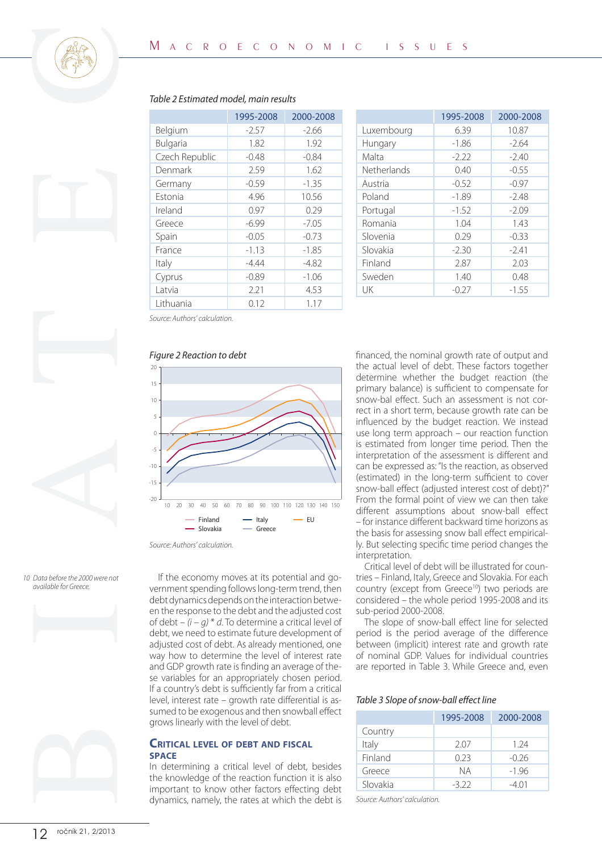





|             | 1995-2008 | 2000-2008 |
|-------------|-----------|-----------|
| Luxembourg  | 6.39      | 10.87     |
| Hungary     | $-1.86$   | $-2.64$   |
| Malta       | $-2.22$   | $-2.40$   |
| Netherlands | 0.40      | $-0.55$   |
| Austria     | $-0.52$   | $-0.97$   |
| Poland      | $-1.89$   | $-2.48$   |
| Portugal    | $-1.52$   | $-2.09$   |
| Romania     | 1.04      | 1.43      |
| Slovenia    | 0.29      | $-0.33$   |
| Slovakia    | $-2.30$   | $-2.41$   |
| Finland     | 2.87      | 2.03      |
| Sweden      | 1.40      | 0.48      |
| UK          | $-0.27$   | $-1.55$   |

# Table 2 Estimated model, main results

Source: Authors' calculation.

#### Figure 2 Reaction to debt



Source: Authors' calculation.

10 Data before the 2000 were not available for Greece.



If the economy moves at its potential and government spending follows long-term trend, then debt dynamics depends on the interaction between the response to the debt and the adjusted cost of debt – (i − g) \* d. To determine a critical level of debt, we need to estimate future development of adjusted cost of debt. As already mentioned, one way how to determine the level of interest rate and GDP growth rate is finding an average of these variables for an appropriately chosen period. If a country's debt is sufficiently far from a critical level, interest rate – growth rate differential is assumed to be exogenous and then snowball effect grows linearly with the level of debt.

# **CRITICAL LEVEL OF DEBT AND FISCAL SPACE**

In determining a critical level of debt, besides the knowledge of the reaction function it is also important to know other factors effecting debt dynamics, namely, the rates at which the debt is financed, the nominal growth rate of output and the actual level of debt. These factors together determine whether the budget reaction (the primary balance) is sufficient to compensate for snow-bal effect. Such an assessment is not correct in a short term, because growth rate can be influenced by the budget reaction. We instead use long term approach – our reaction function is estimated from longer time period. Then the interpretation of the assessment is different and can be expressed as: "Is the reaction, as observed (estimated) in the long-term sufficient to cover snow-ball effect (adjusted interest cost of debt)?" From the formal point of view we can then take different assumptions about snow-ball effect – for instance different backward time horizons as the basis for assessing snow ball effect empirically. But selecting specific time period changes the interpretation.

Critical level of debt will be illustrated for countries – Finland, Italy, Greece and Slovakia. For each country (except from Greece<sup>10</sup>) two periods are considered – the whole period 1995-2008 and its sub-period 2000-2008.

The slope of snow-ball effect line for selected period is the period average of the difference between (implicit) interest rate and growth rate of nominal GDP. Values for individual countries are reported in Table 3. While Greece and, even

#### Table 3 Slope of snow-ball effect line

|          | 1995-2008 | 2000-2008 |
|----------|-----------|-----------|
| Country  |           |           |
| Italy    | 2.07      | 1.24      |
| Finland  | 0.23      | $-0.26$   |
| Greece   | NА        | $-1.96$   |
| Slovakia | -3 22     | -4 Q 1    |

Source: Authors' calculation.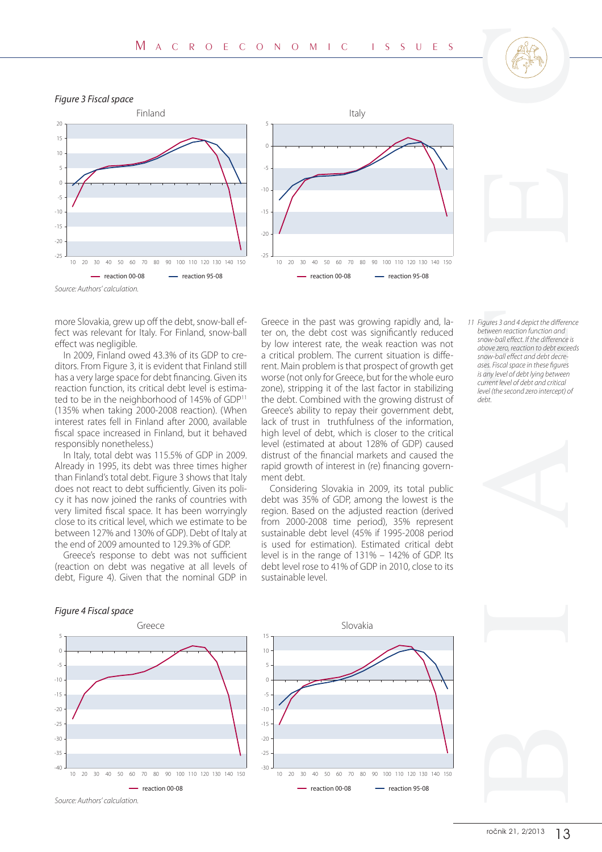

#### Figure 3 Fiscal space





Source: Authors' calculation.

more Slovakia, grew up off the debt, snow-ball effect was relevant for Italy. For Finland, snow-ball effect was negligible.

In 2009, Finland owed 43.3% of its GDP to creditors. From Figure 3, it is evident that Finland still has a very large space for debt financing. Given its reaction function, its critical debt level is estimated to be in the neighborhood of 145% of GDP11 (135% when taking 2000-2008 reaction). (When interest rates fell in Finland after 2000, available fiscal space increased in Finland, but it behaved responsibly nonetheless.)

In Italy, total debt was 115.5% of GDP in 2009. Already in 1995, its debt was three times higher than Finland's total debt. Figure 3 shows that Italy does not react to debt sufficiently. Given its policy it has now joined the ranks of countries with very limited fiscal space. It has been worryingly close to its critical level, which we estimate to be between 127% and 130% of GDP). Debt of Italy at the end of 2009 amounted to 129.3% of GDP.

Greece's response to debt was not sufficient (reaction on debt was negative at all levels of debt, Figure 4). Given that the nominal GDP in Greece in the past was growing rapidly and, later on, the debt cost was significantly reduced by low interest rate, the weak reaction was not a critical problem. The current situation is different. Main problem is that prospect of growth get worse (not only for Greece, but for the whole euro zone), stripping it of the last factor in stabilizing the debt. Combined with the growing distrust of Greece's ability to repay their government debt, lack of trust in truthfulness of the information, high level of debt, which is closer to the critical level (estimated at about 128% of GDP) caused distrust of the financial markets and caused the rapid growth of interest in (re) financing government debt.

Considering Slovakia in 2009, its total public debt was 35% of GDP, among the lowest is the region. Based on the adjusted reaction (derived from 2000-2008 time period), 35% represent sustainable debt level (45% if 1995-2008 period is used for estimation). Estimated critical debt level is in the range of 131% – 142% of GDP. Its debt level rose to 41% of GDP in 2010, close to its sustainable level.

- 
- 11 Figures 3 and 4 depict the difference between reaction function and snow-ball effect. If the difference is above zero, reaction to debt exceeds snow-ball effect and debt decreases. Fiscal space in these figures is any level of debt lying between current level of debt and critical level (the second zero intercept) of debt.



### Figure 4 Fiscal space